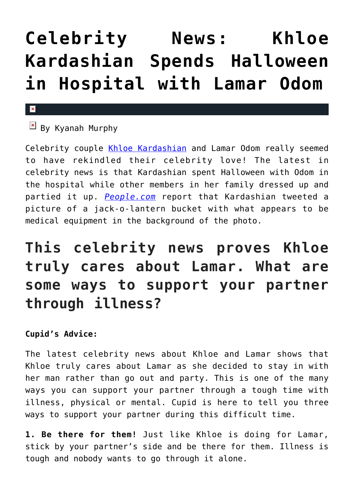## **[Celebrity News: Khloe](https://cupidspulse.com/101287/celebrity-news-khloe-kardashian-spends-halloween-in-hospital-with-lamar-odom/) [Kardashian Spends Halloween](https://cupidspulse.com/101287/celebrity-news-khloe-kardashian-spends-halloween-in-hospital-with-lamar-odom/) [in Hospital with Lamar Odom](https://cupidspulse.com/101287/celebrity-news-khloe-kardashian-spends-halloween-in-hospital-with-lamar-odom/)**

## $\mathbf{x}$

 $\overline{B}$  By Kyanah Murphy

Celebrity couple [Khloe Kardashian](#page--1-0) and Lamar Odom really seemed to have rekindled their celebrity love! The latest in celebrity news is that Kardashian spent Halloween with Odom in the hospital while other members in her family dressed up and partied it up. *[People.com](http://www.people.com/article/did-khloe-kardashian-spend-halloween-lamar-odom)* report that Kardashian tweeted a picture of a jack-o-lantern bucket with what appears to be medical equipment in the background of the photo.

## **This celebrity news proves Khloe truly cares about Lamar. What are some ways to support your partner through illness?**

## **Cupid's Advice:**

The latest celebrity news about Khloe and Lamar shows that Khloe truly cares about Lamar as she decided to stay in with her man rather than go out and party. This is one of the many ways you can support your partner through a tough time with illness, physical or mental. Cupid is here to tell you three ways to support your partner during this difficult time.

**1. Be there for them!** Just like Khloe is doing for Lamar, stick by your partner's side and be there for them. Illness is tough and nobody wants to go through it alone.